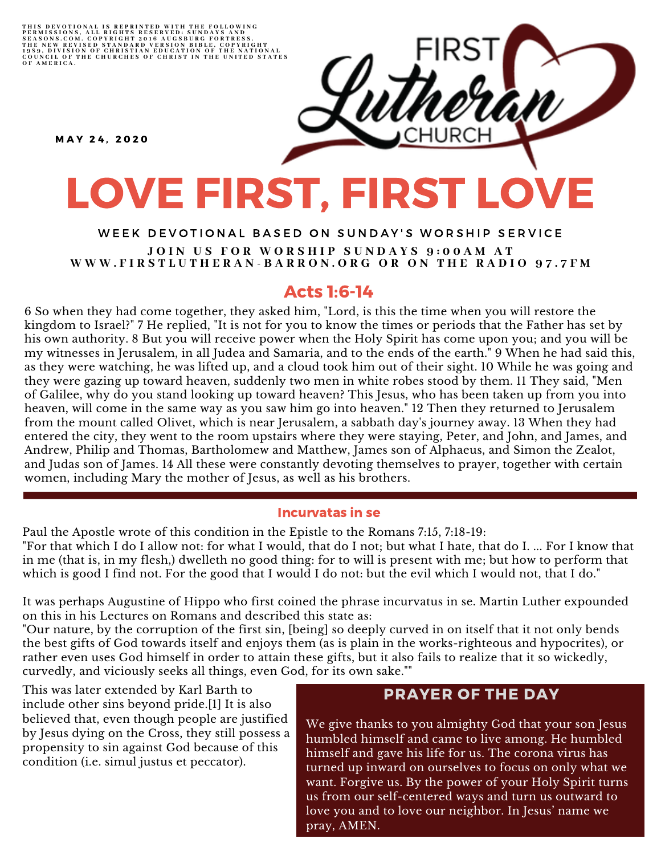THIS DEVOTIONAL IS REPRINTED WITH THE FOLLOWING<br>PERMISSIONS, ALL RIGHTS RESERVED: SUNDAYS AND<br>SEASONS.COM. COPYRIGHT 2016 AUGSBURG FORTRESS.<br>THE NEW REVISED STANDARD VERSION BIBLE, COPYRIGHT<br>1959, DIVISION OF CHRISTIAN EDU

M A Y 2 4 , 2 0 2 0

# LOVE FIRST, FIRST LOVE

#### WEEK DEVOTIONAL BASED ON SUNDAY'S WORSHIP SERVICE JOIN US FOR WORSHIP SUNDAYS 9:00AM AT WWW.FIRSTLUTHERAN-BARRON.ORG OR ON THE RADIO 97.7FM

### Acts 1:6-14

6 So when they had come together, they asked him, "Lord, is this the time when you will restore the kingdom to Israel?" 7 He replied, "It is not for you to know the times or periods that the Father has set by his own authority. 8 But you will receive power when the Holy Spirit has come upon you; and you will be my witnesses in Jerusalem, in all Judea and Samaria, and to the ends of the earth." 9 When he had said this, as they were watching, he was lifted up, and a cloud took him out of their sight. 10 While he was going and they were gazing up toward heaven, suddenly two men in white robes stood by them. 11 They said, "Men of Galilee, why do you stand looking up toward heaven? This Jesus, who has been taken up from you into heaven, will come in the same way as you saw him go into heaven." 12 Then they returned to Jerusalem from the mount called Olivet, which is near Jerusalem, a sabbath day's journey away. 13 When they had entered the city, they went to the room upstairs where they were staying, Peter, and John, and James, and Andrew, Philip and Thomas, Bartholomew and Matthew, James son of Alphaeus, and Simon the Zealot, and Judas son of James. 14 All these were constantly devoting themselves to prayer, together with certain women, including Mary the mother of Jesus, as well as his brothers.

#### Incurvatas in se

Paul the Apostle wrote of this condition in the Epistle to the Romans 7:15, 7:18-19: "For that which I do I allow not: for what I would, that do I not; but what I hate, that do I. ... For I know that in me (that is, in my flesh,) dwelleth no good thing: for to will is present with me; but how to perform that which is good I find not. For the good that I would I do not: but the evil which I would not, that I do."

It was perhaps Augustine of Hippo who first coined the phrase incurvatus in se. Martin Luther expounded on this in his Lectures on Romans and described this state as:

"Our nature, by the corruption of the first sin, [being] so deeply curved in on itself that it not only bends the best gifts of God towards itself and enjoys them (as is plain in the works-righteous and hypocrites), or rather even uses God himself in order to attain these gifts, but it also fails to realize that it so wickedly, curvedly, and viciously seeks all things, even God, for its own sake.""

This was later extended by Karl Barth to include other sins beyond pride.[1] It is also believed that, even though people are justified by Jesus dying on the Cross, they still possess a propensity to sin against God because of this condition (i.e. simul justus et peccator).

#### PRAYER OF THE DAY

We give thanks to you almighty God that your son Jesus humbled himself and came to live among. He humbled himself and gave his life for us. The corona virus has turned up inward on ourselves to focus on only what we want. Forgive us. By the power of your Holy Spirit turns us from our self-centered ways and turn us outward to love you and to love our neighbor. In Jesus' name we pray, AMEN.